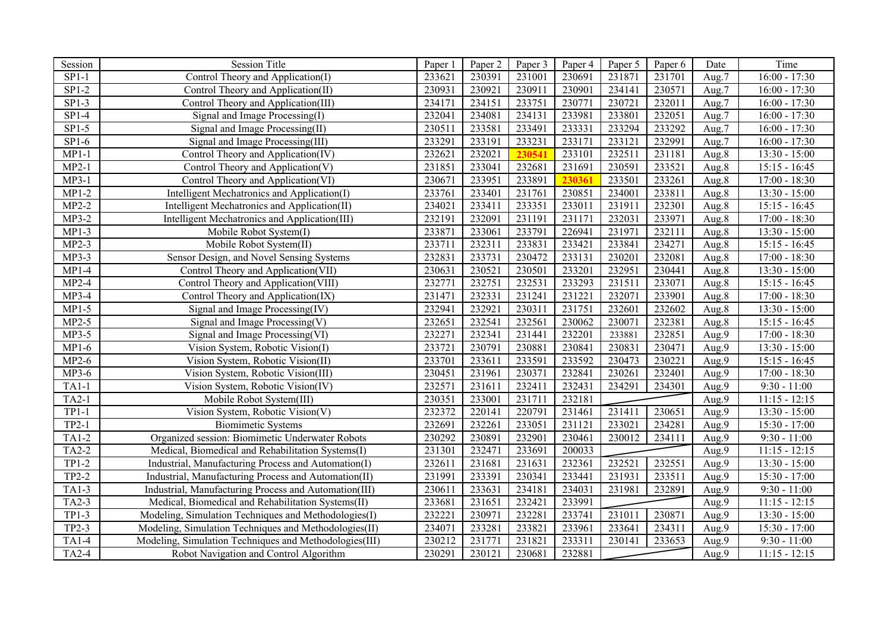| Session      | <b>Session Title</b>                                   | Paper 1 | Paper 2 | Paper 3 | Paper 4 | Paper 5 | Paper 6 | Date  | Time            |
|--------------|--------------------------------------------------------|---------|---------|---------|---------|---------|---------|-------|-----------------|
| $SP1-1$      | Control Theory and Application(I)                      | 233621  | 230391  | 231001  | 230691  | 231871  | 231701  | Aug.7 | $16:00 - 17:30$ |
| $SP1-2$      | Control Theory and Application(II)                     | 230931  | 230921  | 230911  | 230901  | 234141  | 230571  | Aug.7 | $16:00 - 17:30$ |
| $SP1-3$      | Control Theory and Application(III)                    | 234171  | 234151  | 233751  | 230771  | 230721  | 232011  | Aug.7 | $16:00 - 17:30$ |
| $SP1-4$      | Signal and Image Processing(I)                         | 232041  | 234081  | 234131  | 233981  | 233801  | 232051  | Aug.7 | $16:00 - 17:30$ |
| $SP1-5$      | Signal and Image Processing(II)                        | 230511  | 233581  | 233491  | 233331  | 233294  | 233292  | Aug.7 | $16:00 - 17:30$ |
| $SP1-6$      | Signal and Image Processing(III)                       | 233291  | 233191  | 233231  | 233171  | 233121  | 232991  | Aug.7 | $16:00 - 17:30$ |
| $MP1-1$      | Control Theory and Application(IV)                     | 232621  | 232021  | 230541  | 233101  | 232511  | 231181  | Aug.8 | $13:30 - 15:00$ |
| $MP2-1$      | Control Theory and Application(V)                      | 231851  | 233041  | 232681  | 231691  | 230591  | 233521  | Aug.8 | $15:15 - 16:45$ |
| $MP3-1$      | Control Theory and Application(VI)                     | 230671  | 233951  | 233891  | 230361  | 233501  | 233261  | Aug.8 | $17:00 - 18:30$ |
| $MP1-2$      | Intelligent Mechatronics and Application(I)            | 233761  | 233401  | 231761  | 230851  | 234001  | 233811  | Aug.8 | $13:30 - 15:00$ |
| $MP2-2$      | Intelligent Mechatronics and Application(II)           | 234021  | 233411  | 233351  | 233011  | 231911  | 232301  | Aug.8 | $15:15 - 16:45$ |
| $MP3-2$      | Intelligent Mechatronics and Application(III)          | 232191  | 232091  | 231191  | 231171  | 232031  | 233971  | Aug.8 | $17:00 - 18:30$ |
| $MP1-3$      | Mobile Robot System(I)                                 | 233871  | 233061  | 233791  | 226941  | 231971  | 232111  | Aug.8 | 13:30 - 15:00   |
| $MP2-3$      | Mobile Robot System(II)                                | 233711  | 232311  | 233831  | 233421  | 233841  | 234271  | Aug.8 | $15:15 - 16:45$ |
| MP3-3        | Sensor Design, and Novel Sensing Systems               | 232831  | 233731  | 230472  | 233131  | 230201  | 232081  | Aug.8 | $17:00 - 18:30$ |
| $MP1-4$      | Control Theory and Application(VII)                    | 230631  | 230521  | 230501  | 233201  | 232951  | 230441  | Aug.8 | 13:30 - 15:00   |
| $MP2-4$      | Control Theory and Application(VIII)                   | 232771  | 232751  | 232531  | 233293  | 231511  | 233071  | Aug.8 | $15:15 - 16:45$ |
| $MP3-4$      | Control Theory and Application(IX)                     | 231471  | 232331  | 231241  | 231221  | 232071  | 233901  | Aug.8 | $17:00 - 18:30$ |
| $MP1-5$      | Signal and Image Processing(IV)                        | 232941  | 232921  | 230311  | 231751  | 232601  | 232602  | Aug.8 | $13:30 - 15:00$ |
| $MP2-5$      | Signal and Image Processing(V)                         | 232651  | 232541  | 232561  | 230062  | 230071  | 232381  | Aug.8 | $15:15 - 16:45$ |
| $MP3-5$      | Signal and Image Processing(VI)                        | 232271  | 232341  | 231441  | 232201  | 233881  | 232851  | Aug.9 | $17:00 - 18:30$ |
| $MP1-6$      | Vision System, Robotic Vision(I)                       | 233721  | 230791  | 230881  | 230841  | 230831  | 230471  | Aug.9 | $13:30 - 15:00$ |
| $MP2-6$      | Vision System, Robotic Vision(II)                      | 233701  | 233611  | 233591  | 233592  | 230473  | 230221  | Aug.9 | $15:15 - 16:45$ |
| MP3-6        | Vision System, Robotic Vision(III)                     | 230451  | 231961  | 230371  | 232841  | 230261  | 232401  | Aug.9 | $17:00 - 18:30$ |
| $TA1-1$      | Vision System, Robotic Vision(IV)                      | 232571  | 231611  | 232411  | 232431  | 234291  | 234301  | Aug.9 | $9:30 - 11:00$  |
| $TA2-1$      | Mobile Robot System(III)                               | 230351  | 233001  | 231711  | 232181  |         |         | Aug.9 | $11:15 - 12:15$ |
| $TP1-1$      | Vision System, Robotic Vision(V)                       | 232372  | 220141  | 220791  | 231461  | 231411  | 230651  | Aug.9 | $13:30 - 15:00$ |
| $TP2-1$      | <b>Biomimetic Systems</b>                              | 232691  | 232261  | 233051  | 231121  | 233021  | 234281  | Aug.9 | $15:30 - 17:00$ |
| $TA1-2$      | Organized session: Biomimetic Underwater Robots        | 230292  | 230891  | 232901  | 230461  | 230012  | 234111  | Aug.9 | $9:30 - 11:00$  |
| TA2-2        | Medical, Biomedical and Rehabilitation Systems(I)      | 231301  | 232471  | 233691  | 200033  |         |         | Aug.9 | $11:15 - 12:15$ |
| $TP1-2$      | Industrial, Manufacturing Process and Automation(I)    | 232611  | 231681  | 231631  | 232361  | 232521  | 232551  | Aug.9 | $13:30 - 15:00$ |
| $TP2-2$      | Industrial, Manufacturing Process and Automation(II)   | 231991  | 233391  | 230341  | 233441  | 231931  | 233511  | Aug.9 | $15:30 - 17:00$ |
| $TA1-3$      | Industrial, Manufacturing Process and Automation(III)  | 230611  | 233631  | 234181  | 234031  | 231981  | 232891  | Aug.9 | $9:30 - 11:00$  |
| $TA2-3$      | Medical, Biomedical and Rehabilitation Systems(II)     | 233681  | 231651  | 232421  | 233991  |         |         | Aug.9 | $11:15 - 12:15$ |
| $TP1-3$      | Modeling, Simulation Techniques and Methodologies(I)   | 232221  | 230971  | 232281  | 233741  | 231011  | 230871  | Aug.9 | 13:30 - 15:00   |
| TP2-3        | Modeling, Simulation Techniques and Methodologies(II)  | 234071  | 233281  | 23382   | 233961  | 233641  | 234311  | Aug.9 | 15:30 - 17:00   |
| $TA1-4$      | Modeling, Simulation Techniques and Methodologies(III) | 230212  | 231771  | 231821  | 233311  | 230141  | 233653  | Aug.9 | $9:30 - 11:00$  |
| <b>TA2-4</b> | Robot Navigation and Control Algorithm                 | 230291  | 230121  | 230681  | 232881  |         |         | Aug.9 | $11:15 - 12:15$ |